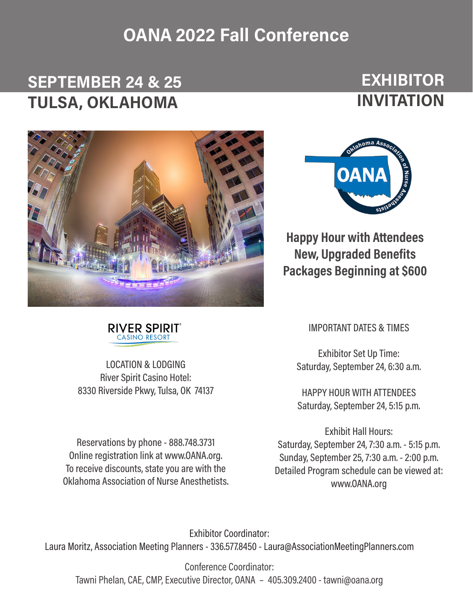# OANA 2022 Fall Conference

## SEPTEMBER 24 & 25 TULSA, OKLAHOMA

## EXHIBITOR **INVITATION**





Happy Hour with Attendees New, Upgraded Benefits Packages Beginning at \$600



LOCATION & LODGING River Spirit Casino Hotel: 8330 Riverside Pkwy, Tulsa, OK 74137

Reservations by phone - 888.748.3731 Online registration link at www.OANA.org. To receive discounts, state you are with the Oklahoma Association of Nurse Anesthetists. IMPORTANT DATES & TIMES

Exhibitor Set Up Time: Saturday, September 24, 6:30 a.m.

HAPPY HOUR WITH ATTENDEES Saturday, September 24, 5:15 p.m.

Exhibit Hall Hours: Saturday, September 24, 7:30 a.m. - 5:15 p.m. Sunday, September 25, 7:30 a.m. - 2:00 p.m. Detailed Program schedule can be viewed at: www.OANA.org

Exhibitor Coordinator: Laura Moritz, Association Meeting Planners - 336.577.8450 - Laura@AssociationMeetingPlanners.com

Conference Coordinator: Tawni Phelan, CAE, CMP, Executive Director, OANA – 405.309.2400 - tawni@oana.org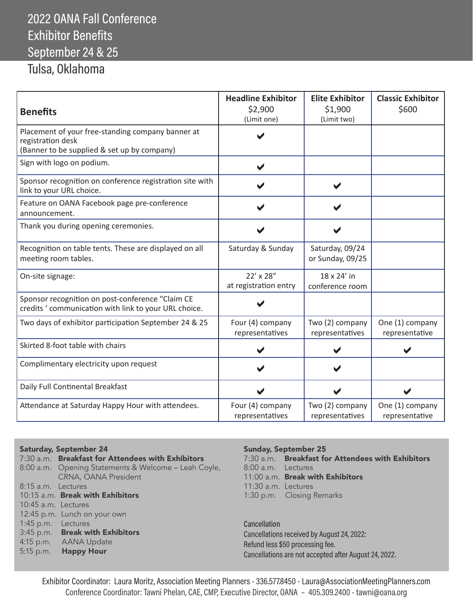## 2022 OANA Fall Conference Exhibitor Benefits September 24 & 25

### Tulsa, Oklahoma

| <b>Benefits</b>                                                                                                       | <b>Headline Exhibitor</b><br>\$2,900<br>(Limit one) | <b>Elite Exhibitor</b><br>\$1,900<br>(Limit two) | <b>Classic Exhibitor</b><br>\$600 |
|-----------------------------------------------------------------------------------------------------------------------|-----------------------------------------------------|--------------------------------------------------|-----------------------------------|
| Placement of your free-standing company banner at<br>registration desk<br>(Banner to be supplied & set up by company) |                                                     |                                                  |                                   |
| Sign with logo on podium.                                                                                             | $\blacktriangledown$                                |                                                  |                                   |
| Sponsor recognition on conference registration site with<br>link to your URL choice.                                  |                                                     |                                                  |                                   |
| Feature on OANA Facebook page pre-conference<br>announcement.                                                         |                                                     |                                                  |                                   |
| Thank you during opening ceremonies.                                                                                  |                                                     |                                                  |                                   |
| Recognition on table tents. These are displayed on all<br>meeting room tables.                                        | Saturday & Sunday                                   | Saturday, 09/24<br>or Sunday, 09/25              |                                   |
| On-site signage:                                                                                                      | 22' x 28"<br>at registration entry                  | 18 x 24' in<br>conference room                   |                                   |
| Sponsor recognition on post-conference "Claim CE<br>credits ' communication with link to your URL choice.             |                                                     |                                                  |                                   |
| Two days of exhibitor participation September 24 & 25                                                                 | Four (4) company<br>representatives                 | Two (2) company<br>representatives               | One (1) company<br>representative |
| Skirted 8-foot table with chairs                                                                                      |                                                     |                                                  |                                   |
| Complimentary electricity upon request                                                                                |                                                     |                                                  |                                   |
| Daily Full Continental Breakfast                                                                                      |                                                     |                                                  |                                   |
| Attendance at Saturday Happy Hour with attendees.                                                                     | Four (4) company<br>representatives                 | Two (2) company<br>representatives               | One (1) company<br>representative |

### Saturday, September 24

|                     | 7:30 a.m. Breakfast for Attendees with Exhibitors    |
|---------------------|------------------------------------------------------|
|                     | 8:00 a.m. Opening Statements & Welcome - Leah Coyle, |
|                     | CRNA, OANA President                                 |
| 8:15 a.m. Lectures  |                                                      |
|                     | 10:15 a.m. Break with Exhibitors                     |
| 10:45 a.m. Lectures |                                                      |
|                     | 12:45 p.m. Lunch on your own                         |
| 1:45 p.m. Lectures  |                                                      |
|                     | 3:45 p.m. Break with Exhibitors                      |
|                     | 4:15 p.m. AANA Update                                |
|                     | 5:15 p.m. <b>Happy Hour</b>                          |
|                     |                                                      |

### Sunday, September 25

7:30 a.m. Breakfast for Attendees with Exhibitors 8:00 a.m. Lectures 11:00 a.m. Break with Exhibitors 11:30 a.m. Lectures 1:30 p.m. Closing Remarks

#### Cancellation

Cancellations received by August 24, 2022: Refund less \$50 processing fee. Cancellations are not accepted after August 24, 2022.

Exhibitor Coordinator: Laura Moritz, Association Meeting Planners - 336.577.8450 - Laura@AssociationMeetingPlanners.com Conference Coordinator: Tawni Phelan, CAE, CMP, Executive Director, OANA – 405.309.2400 - tawni@oana.org